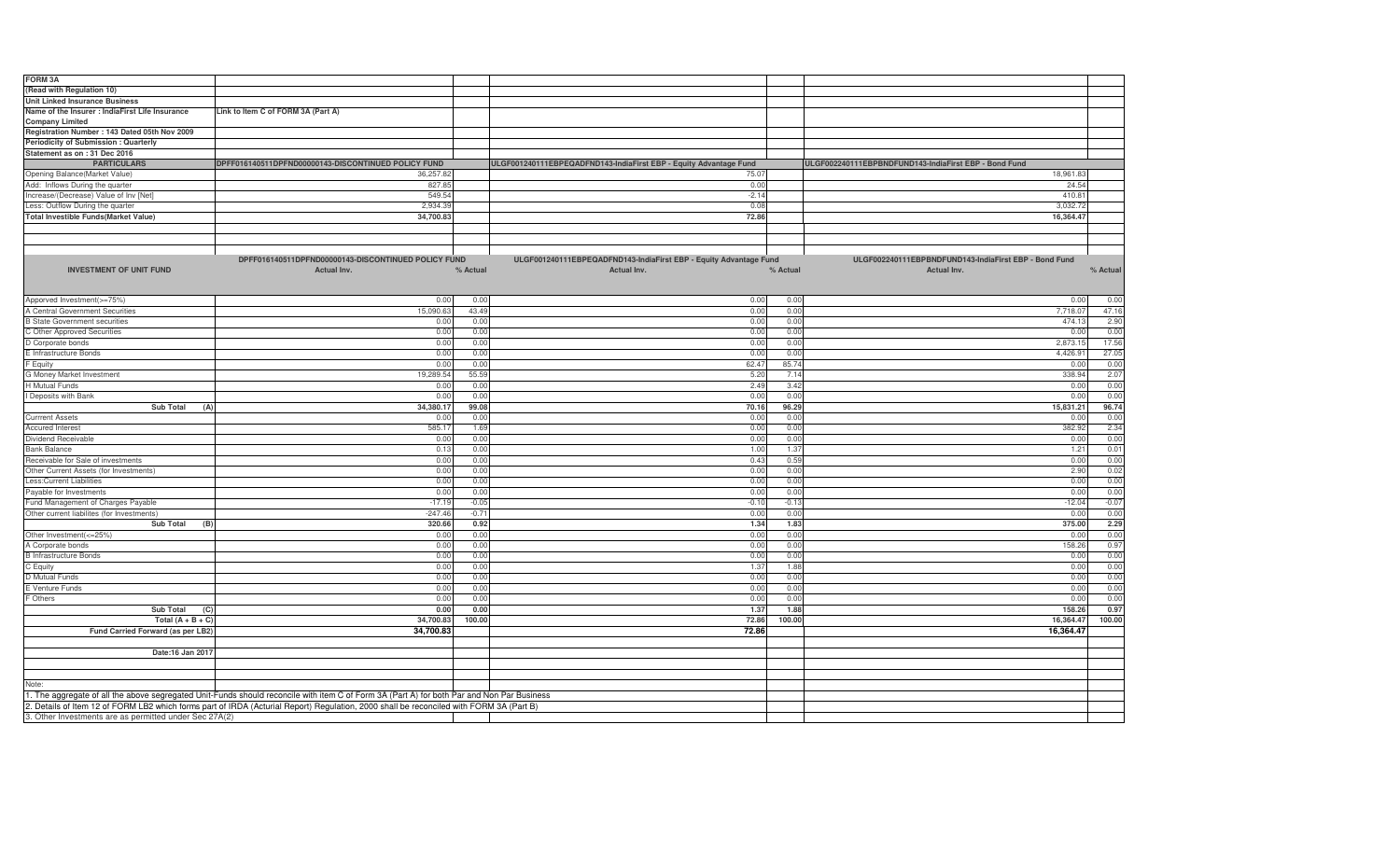| FORM 3A                                                                   |                                                                                                                                            |          |                                                                   |          |                                                       |          |
|---------------------------------------------------------------------------|--------------------------------------------------------------------------------------------------------------------------------------------|----------|-------------------------------------------------------------------|----------|-------------------------------------------------------|----------|
| (Read with Regulation 10)                                                 |                                                                                                                                            |          |                                                                   |          |                                                       |          |
| <b>Unit Linked Insurance Business</b>                                     |                                                                                                                                            |          |                                                                   |          |                                                       |          |
| Name of the Insurer : IndiaFirst Life Insurance<br><b>Company Limited</b> | Link to Item C of FORM 3A (Part A)                                                                                                         |          |                                                                   |          |                                                       |          |
| Registration Number: 143 Dated 05th Nov 2009                              |                                                                                                                                            |          |                                                                   |          |                                                       |          |
| Periodicity of Submission : Quarterly                                     |                                                                                                                                            |          |                                                                   |          |                                                       |          |
| Statement as on : 31 Dec 2016                                             |                                                                                                                                            |          |                                                                   |          |                                                       |          |
| <b>PARTICULARS</b>                                                        | DPFF016140511DPFND00000143-DISCONTINUED POLICY FUND                                                                                        |          | ULGF001240111EBPEQADFND143-IndiaFirst EBP - Equity Advantage Fund |          | ULGF002240111EBPBNDFUND143-IndiaFirst EBP - Bond Fund |          |
| Opening Balance(Market Value)                                             | 36,257.82                                                                                                                                  |          | 75.07                                                             |          | 18,961.83                                             |          |
| Add: Inflows During the quarter                                           | 827.85                                                                                                                                     |          | 0.00                                                              |          | 24.54                                                 |          |
| Increase/(Decrease) Value of Inv [Net]                                    | 549.54                                                                                                                                     |          | $-2.14$                                                           |          | 410.81                                                |          |
| Less: Outflow During the quarter                                          | 2,934.39                                                                                                                                   |          | 0.08                                                              |          | 3,032.7                                               |          |
| <b>Total Investible Funds(Market Value)</b>                               | 34,700.83                                                                                                                                  |          | 72.86                                                             |          | 16,364.47                                             |          |
|                                                                           |                                                                                                                                            |          |                                                                   |          |                                                       |          |
|                                                                           |                                                                                                                                            |          |                                                                   |          |                                                       |          |
|                                                                           | DPFF016140511DPFND00000143-DISCONTINUED POLICY FUND                                                                                        |          | ULGF001240111EBPEQADFND143-IndiaFirst EBP - Equity Advantage Fund |          | ULGF002240111EBPBNDFUND143-IndiaFirst EBP - Bond Fund |          |
|                                                                           |                                                                                                                                            |          |                                                                   |          |                                                       |          |
| <b>INVESTMENT OF UNIT FUND</b>                                            | <b>Actual Inv.</b>                                                                                                                         | % Actual | Actual Inv.                                                       | % Actual | Actual Inv.                                           | % Actual |
|                                                                           |                                                                                                                                            |          |                                                                   |          |                                                       |          |
| Apporved Investment(>=75%)                                                | 0.00                                                                                                                                       | 0.00     | 0.00                                                              | 0.00     | 0.00                                                  | 0.00     |
| A Central Government Securities                                           | 15,090.63                                                                                                                                  | 43.49    | 0.00                                                              | 0.00     | 7,718.07                                              | 47.16    |
| <b>B State Government securities</b>                                      | 0.00                                                                                                                                       | 0.00     | 0.00                                                              | 0.00     | 474.13                                                | 2.90     |
| C Other Approved Securities                                               | 0.00                                                                                                                                       | 0.00     | 0.00                                                              | 0.00     | 0.00                                                  | 0.00     |
| D Corporate bonds                                                         | 0.00                                                                                                                                       | 0.00     | 0.00                                                              | 0.00     | 2,873.1                                               | 17.56    |
| E Infrastructure Bonds                                                    | 0.00                                                                                                                                       | 0.00     | 0.00                                                              | 0.00     | 4,426.9                                               | 27.05    |
| F Equity                                                                  | 0.00                                                                                                                                       | 0.00     | 62.47                                                             | 85.74    | 0.00                                                  | 0.00     |
| G Money Market Investment                                                 | 19,289.54                                                                                                                                  | 55.59    | 5.20                                                              | 7.14     | 338.94                                                | 2.07     |
| H Mutual Funds                                                            | 0.00                                                                                                                                       | 0.00     | 2.49                                                              | 3.42     | 0.00                                                  | 0.00     |
| I Deposits with Bank                                                      | 0.00                                                                                                                                       | 0.00     | 0.00                                                              | 0.00     | 0.00                                                  | 0.00     |
| <b>Sub Total</b><br>(A)                                                   | 34,380.17                                                                                                                                  | 99.08    | 70.16                                                             | 96.29    | 15,831.21                                             | 96.74    |
| <b>Currrent Assets</b>                                                    | 0.00                                                                                                                                       | 0.00     | 0.00                                                              | 0.00     | 0.00                                                  | 0.00     |
| <b>Accured Interest</b>                                                   | 585.1                                                                                                                                      | 1.69     | 0.00                                                              | 0.00     | 382.92                                                | 2.34     |
| Dividend Receivable                                                       | 0.00                                                                                                                                       | 0.00     | 0.00                                                              | 0.00     | 0.00                                                  | 0.00     |
| <b>Bank Balance</b>                                                       | 0.13                                                                                                                                       | 0.00     | 1.00                                                              | 1.37     | 1.21                                                  | 0.01     |
| Receivable for Sale of investments                                        | 0.00                                                                                                                                       | 0.00     | 0.43                                                              | 0.59     | 0.00                                                  | 0.00     |
| Other Current Assets (for Investments)                                    | 0.00                                                                                                                                       | 0.00     | 0.00                                                              | 0.00     | 2.90                                                  | 0.02     |
| Less: Current Liabilities                                                 | 0.00                                                                                                                                       | 0.00     | 0.00                                                              | 0.00     | 0.00                                                  | 0.00     |
| Payable for Investments                                                   | 0.00                                                                                                                                       | 0.00     | 0.00                                                              | 0.00     | 0.00                                                  | 0.00     |
| Fund Management of Charges Payable                                        | $-17.19$                                                                                                                                   | $-0.05$  | $-0.10$                                                           | $-0.13$  | $-12.04$                                              | $-0.07$  |
| Other current liabilites (for Investments)                                | $-247.46$                                                                                                                                  | $-0.71$  | 0.00                                                              | 0.00     | 0.00                                                  | 0.00     |
| <b>Sub Total</b><br>(B)                                                   | 320.66                                                                                                                                     | 0.92     | 1.34                                                              | 1.83     | 375.00                                                | 2.29     |
| Other Investment(<=25%)                                                   | 0.00                                                                                                                                       | 0.00     | 0.00                                                              | 0.00     | 0.00                                                  | 0.00     |
| A Corporate bonds                                                         | 0.00                                                                                                                                       | 0.00     | 0.00                                                              | 0.00     | 158.26                                                | 0.97     |
| <b>B</b> Infrastructure Bonds                                             | 0.00                                                                                                                                       | 0.00     | 0.00                                                              | 0.00     | 0.00                                                  | 0.00     |
| C Equity                                                                  | 0.00                                                                                                                                       | 0.00     | 1.37                                                              | 1.88     | 0.00                                                  | 0.00     |
| D Mutual Funds                                                            | 0.00                                                                                                                                       | 0.00     | 0.00                                                              | 0.00     | 0.00                                                  | 0.00     |
| E Venture Funds                                                           | 0.00                                                                                                                                       | 0.00     | 0.00                                                              | 0.00     | 0.00                                                  | 0.00     |
| F Others                                                                  | 0.00                                                                                                                                       | 0.00     | 0.00                                                              | 0.00     | 0.00                                                  | 0.00     |
| Sub Total<br>(C)                                                          | 0.00                                                                                                                                       | 0.00     | 1.37                                                              | 1.88     | 158.26                                                | 0.97     |
| Total $(A + B + C)$                                                       | 34,700.83                                                                                                                                  | 100.00   | 72.86                                                             | 100.00   | 16,364.47                                             | 100.00   |
| Fund Carried Forward (as per LB2)                                         | 34,700.83                                                                                                                                  |          | 72.86                                                             |          | 16,364.47                                             |          |
|                                                                           |                                                                                                                                            |          |                                                                   |          |                                                       |          |
| Date:16 Jan 2017                                                          |                                                                                                                                            |          |                                                                   |          |                                                       |          |
|                                                                           |                                                                                                                                            |          |                                                                   |          |                                                       |          |
|                                                                           |                                                                                                                                            |          |                                                                   |          |                                                       |          |
| Note:                                                                     |                                                                                                                                            |          |                                                                   |          |                                                       |          |
|                                                                           | 1. The aggregate of all the above segregated Unit-Funds should reconcile with item C of Form 3A (Part A) for both Par and Non Par Business |          |                                                                   |          |                                                       |          |
|                                                                           | 2. Details of Item 12 of FORM LB2 which forms part of IRDA (Acturial Report) Regulation, 2000 shall be reconciled with FORM 3A (Part B)    |          |                                                                   |          |                                                       |          |
| 3. Other Investments are as permitted under Sec 27A(2)                    |                                                                                                                                            |          |                                                                   |          |                                                       |          |
|                                                                           |                                                                                                                                            |          |                                                                   |          |                                                       |          |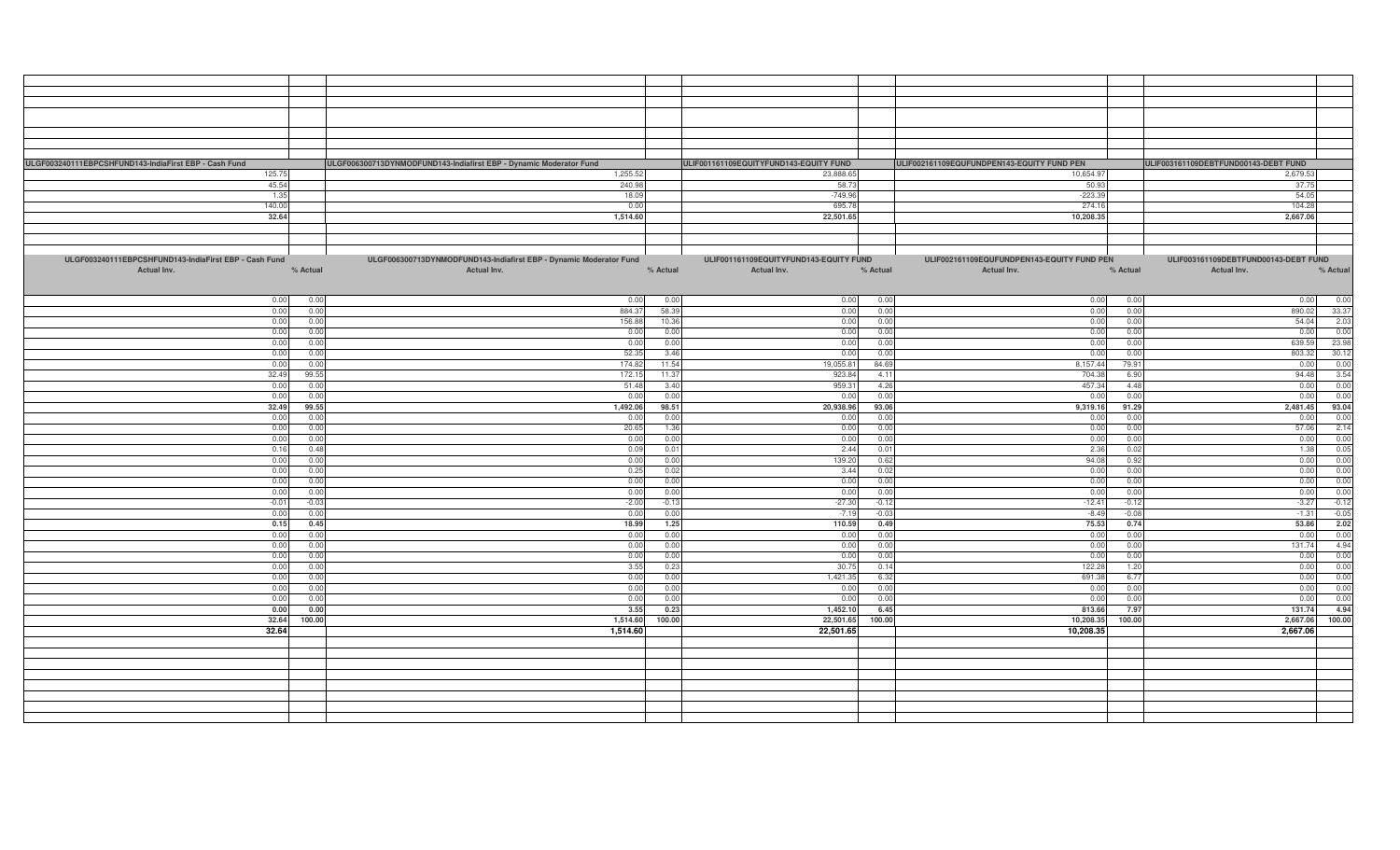| ULGF003240111EBPCSHFUND143-IndiaFirst EBP - Cash Fund | ULGF006300713DYNMODFUND143-Indiafirst EBP - Dynamic Moderator Fund |              |              | ULIF001161109EQUITYFUND143-EQUITY FUND |              | ULIF002161109EQUFUNDPEN143-EQUITY FUND PEN |              | ULIF003161109DEBTFUND00143-DEBT FUND |
|-------------------------------------------------------|--------------------------------------------------------------------|--------------|--------------|----------------------------------------|--------------|--------------------------------------------|--------------|--------------------------------------|
| 125.75                                                |                                                                    | 1,255.52     |              | 23,888.65                              |              | 10,654.97                                  |              | 2,679.53                             |
| 45.54                                                 |                                                                    | 240.98       |              | 58.73                                  |              | 50.93                                      |              | 37.75                                |
| 1.35                                                  |                                                                    | 18.09        |              | $-749.96$                              |              | $-223.39$                                  |              | 54.05                                |
| 140.00                                                |                                                                    | 0.00         |              | 695.78                                 |              | 274.16                                     |              | 104.28                               |
| 32.64                                                 |                                                                    | 1,514.60     |              | 22,501.65                              |              | 10,208.35                                  |              | 2,667.06                             |
|                                                       |                                                                    |              |              |                                        |              |                                            |              |                                      |
|                                                       |                                                                    |              |              |                                        |              |                                            |              |                                      |
| ULGF003240111EBPCSHFUND143-IndiaFirst EBP - Cash Fund | ULGF006300713DYNMODFUND143-Indiafirst EBP - Dynamic Moderator Fund |              |              | ULIF001161109EQUITYFUND143-EQUITY FUND |              | ULIF002161109EQUFUNDPEN143-EQUITY FUND PEN |              | ULIF003161109DEBTFUND00143-DEBT FUND |
| % Actual<br>Actual Inv.                               | Actual Inv.                                                        |              | % Actual     | Actual Inv.                            | % Actual     | Actual Inv.                                | % Actual     | % Actual<br>Actual Inv.              |
|                                                       |                                                                    |              |              |                                        |              |                                            |              |                                      |
|                                                       |                                                                    |              |              |                                        |              |                                            |              |                                      |
| 0.00                                                  | 0.00                                                               | 0.00         | 0.00         | 0.00                                   | 0.00         | 0.00                                       | 0.00         | 0.00<br>0.00                         |
| 0.00                                                  | 0.00                                                               | 884.37       | 58.39        | 0.00                                   | 0.00         | 0.00                                       | 0.00         | 33.37<br>890.02                      |
| 0.00                                                  | 0.00                                                               | 156.88       | 10.36        | 0.00                                   | 0.00         | 0.00                                       | 0.00         | 54.04<br>2.03                        |
| 0.00                                                  | 0.00                                                               | 0.00         | 0.00         | 0.00                                   | 0.00         | 0.00                                       | 0.00         | 0.00<br>0.00                         |
| 0.00                                                  | 0.00                                                               | 0.00         | 0.00         | 0.00                                   | 0.00         | 0.00                                       | 0.00         | 23.98<br>639.59                      |
| 0.00                                                  | 0.00                                                               | 52.35        | 3.46         | 0.00                                   | 0.00         | 0.00                                       | 0.00         | 30.12<br>803.32                      |
| 0.00                                                  | 0.00                                                               | 174.82       | 11.54        | 19,055.81                              | 84.69        | 8,157.44                                   | 79.91        | 0.00<br>0.00                         |
| 32.49                                                 | 99.55                                                              | 172.15       | 11.37        | 923.84                                 | 4.11         | 704.38                                     | 6.90         | 3.54<br>94.48                        |
| 0.00                                                  | 0.00                                                               | 51.48        | 3.40         | 959.31                                 | 4.26         | 457.34                                     | 4.48         | 0.00<br>0.00                         |
| 0.00                                                  | 0.00                                                               | 0.00         | 0.00         | 0.00                                   | 0.00         | 0.00                                       | 0.00         | 0.00<br>0.00                         |
| 32.49                                                 | 99.55                                                              | 1,492.06     | 98.51        | 20,938.96                              | 93.06        | 9,319.16                                   | 91.29        | 93.04<br>2,481.45                    |
| 0.00                                                  | 0.00                                                               | 0.00         | 0.00         | 0.00                                   | 0.00         | 0.00                                       | 0.00         | 0.00<br>0.00                         |
| 0.00                                                  | 0.00                                                               | 20.65        | 1.36         | 0.00                                   | 0.00         | 0.00                                       | 0.00         | 2.14<br>57.06                        |
| 0.00                                                  | 0.00                                                               | 0.00         | 0.00         | 0.00                                   | 0.00         | 0.00                                       | 0.00         | 0.00<br>0.00<br>0.05                 |
| 0.16                                                  | 0.48                                                               | 0.09         | 0.01<br>0.00 | 2.44                                   | 0.01         | 2.36                                       | 0.02<br>0.92 | 1.38                                 |
| 0.00                                                  | 0.00<br>0.00                                                       | 0.00         | 0.02         | 139.20<br>3.44                         | 0.62<br>0.02 | 94.08                                      | 0.00         | 0.00<br>0.00<br>0.00<br>0.00         |
| 0.00<br>0.00                                          | 0.00                                                               | 0.25<br>0.00 | 0.00         | 0.00                                   | 0.00         | 0.00<br>0.00                               | 0.00         | 0.00<br>0.00                         |
| 0.00                                                  | 0.00                                                               | 0.00         | 0.00         | 0.00                                   | 0.00         | 0.00                                       | 0.00         | 0.00<br>0.00                         |
| $-0.01$                                               | $-0.03$                                                            | $-2.00$      | $-0.13$      | $-27.30$                               | $-0.12$      | $-12.41$                                   | $-0.12$      | $-0.12$<br>$-3.27$                   |
| 0.00                                                  | 0.00                                                               | 0.00         | 0.00         | $-7.19$                                | $-0.03$      | $-8.49$                                    | $-0.08$      | $-0.05$<br>$-1.31$                   |
| 0.15                                                  | 0.45                                                               | 18.99        | 1.25         | 110.59                                 | 0.49         | 75.53                                      | 0.74         | 2.02<br>53.86                        |
| 0.00                                                  | 0.00                                                               | 0.00         | 0.00         | 0.00                                   | 0.00         | 0.00                                       | 0.00         | 0.00<br>0.00                         |
| 0.00                                                  | 0.00                                                               | 0.00         | 0.00         | 0.00                                   | 0.00         | 0.00                                       | 0.00         | 4.94<br>131.74                       |
| 0.00                                                  | 0.00                                                               | 0.00         | 0.00         | 0.00                                   | 0.00         | 0.00                                       | 0.00         | 0.00<br>0.00                         |
| 0.00                                                  | 0.00                                                               | 3.55         | 0.23         | 30.75                                  | 0.14         | 122.28                                     | 1.20         | 0.00<br>0.00                         |
| 0.00                                                  | 0.00                                                               | 0.00         | 0.00         | 1,421.35                               | 6.32         | 691.38                                     | 6.77         | 0.00<br>0.00                         |
| 0.00                                                  | 0.00                                                               | 0.00         | 0.00         | 0.00                                   | 0.00         | 0.00                                       | 0.00         | 0.00<br>0.00                         |
| 0.00                                                  | 0.00                                                               | 0.00         | 0.00         | 0.00                                   | 0.00         | 0.00                                       | 0.00         | 0.00<br>0.00                         |
| 0.00                                                  | 0.00                                                               | 3.55         | 0.23         | 1,452.10                               | 6.45         | 813.66                                     | 7.97         | 4.94<br>131.74                       |
| 32.64                                                 | 100.00                                                             | 1,514.60     | 100.00       | 22,501.65                              | 100.00       | 10,208.35                                  | 100.00       | 100.00<br>2,667.06                   |
| 32.64                                                 |                                                                    | 1,514.60     |              | 22,501.65                              |              | 10,208.35                                  |              | 2,667.06                             |
|                                                       |                                                                    |              |              |                                        |              |                                            |              |                                      |
|                                                       |                                                                    |              |              |                                        |              |                                            |              |                                      |
|                                                       |                                                                    |              |              |                                        |              |                                            |              |                                      |
|                                                       |                                                                    |              |              |                                        |              |                                            |              |                                      |
|                                                       |                                                                    |              |              |                                        |              |                                            |              |                                      |
|                                                       |                                                                    |              |              |                                        |              |                                            |              |                                      |
|                                                       |                                                                    |              |              |                                        |              |                                            |              |                                      |
|                                                       |                                                                    |              |              |                                        |              |                                            |              |                                      |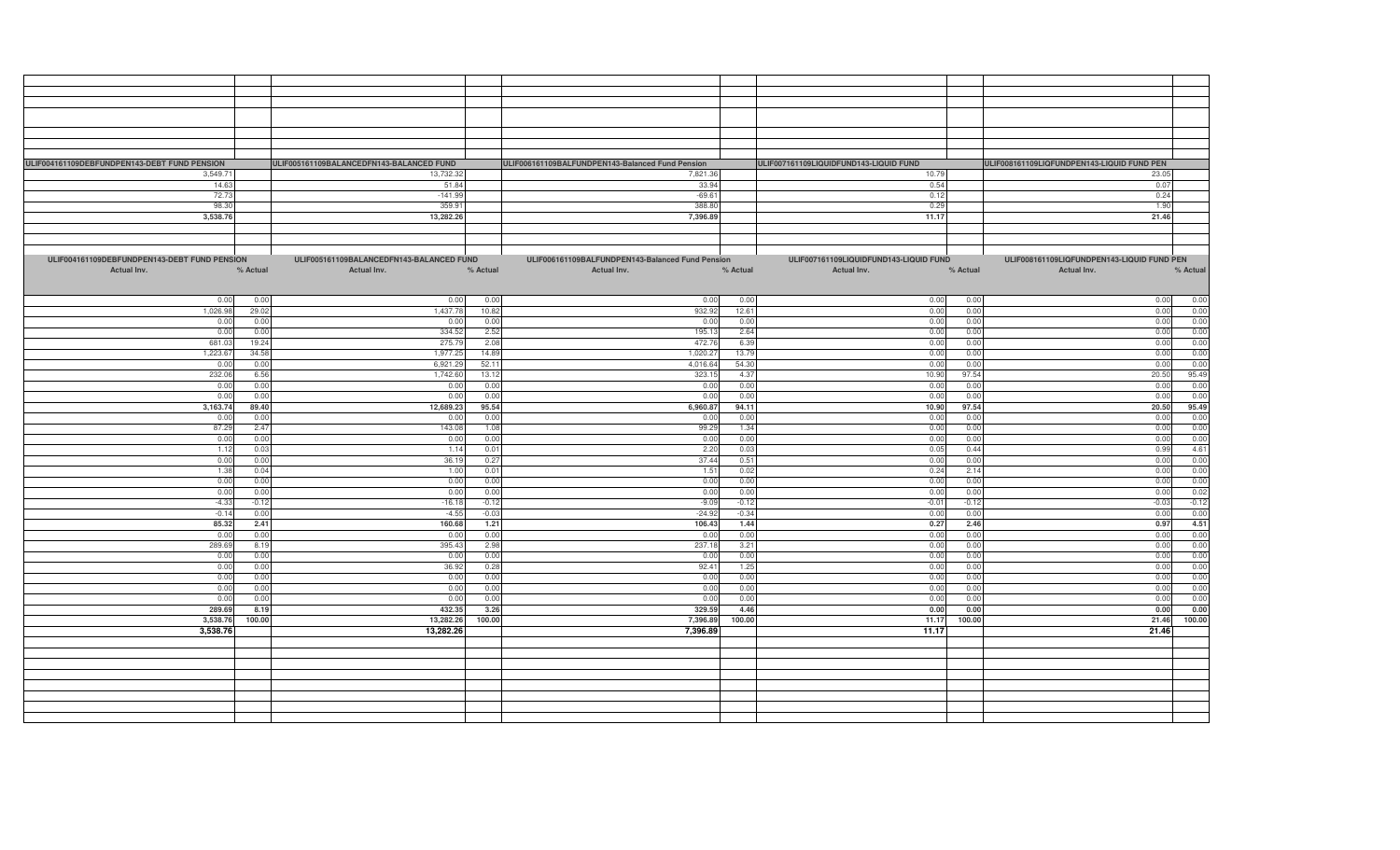| ULIF004161109DEBFUNDPEN143-DEBT FUND PENSION | ULIF005161109BALANCEDFN143-BALANCED FUND |          | ULIF006161109BALFUNDPEN143-Balanced Fund Pension |          | ULIF007161109LIQUIDFUND143-LIQUID FUND |          | ULIF008161109LIQFUNDPEN143-LIQUID FUND PEN |
|----------------------------------------------|------------------------------------------|----------|--------------------------------------------------|----------|----------------------------------------|----------|--------------------------------------------|
| 3,549.71                                     | 13,732.32                                |          | 7,821.36                                         |          | 10.79                                  |          | 23.05                                      |
| 14.63                                        | 51.84                                    |          | 33.94                                            |          | 0.54                                   |          | 0.07                                       |
|                                              |                                          |          |                                                  |          |                                        |          |                                            |
| 72.73                                        | $-141.99$                                |          | $-69.61$                                         |          | 0.12                                   |          | 0.24                                       |
| 98.30                                        | 359.91                                   |          | 388.80                                           |          | 0.29                                   |          | 1.90                                       |
| 3,538.76                                     | 13,282.26                                |          | 7,396.89                                         |          | 11.17                                  |          | 21.46                                      |
|                                              |                                          |          |                                                  |          |                                        |          |                                            |
|                                              |                                          |          |                                                  |          |                                        |          |                                            |
|                                              |                                          |          |                                                  |          |                                        |          |                                            |
|                                              |                                          |          |                                                  |          |                                        |          |                                            |
| ULIF004161109DEBFUNDPEN143-DEBT FUND PENSION | ULIF005161109BALANCEDFN143-BALANCED FUND |          | ULIF006161109BALFUNDPEN143-Balanced Fund Pension |          | ULIF007161109LIQUIDFUND143-LIQUID FUND |          | ULIF008161109LIQFUNDPEN143-LIQUID FUND PEN |
| Actual Inv.<br>% Actual                      |                                          | % Actual | Actual Inv.                                      | % Actual | Actual Inv.                            | % Actual | % Actual                                   |
|                                              | Actual Inv.                              |          |                                                  |          |                                        |          | Actual Inv.                                |
|                                              |                                          |          |                                                  |          |                                        |          |                                            |
|                                              |                                          |          |                                                  |          |                                        |          |                                            |
| 0.00<br>0.00                                 | 0.00                                     | 0.00     | 0.00                                             | 0.00     | 0.00                                   | 0.00     | 0.00<br>0.00                               |
| 1,026.98<br>29.02                            | 1,437.78                                 | 10.82    | 932.92                                           | 12.61    | 0.00                                   | 0.00     | 0.00<br>0.00                               |
| 0.00<br>0.00                                 | 0.00                                     | 0.00     | 0.00                                             | 0.00     | 0.00                                   | 0.00     | 0.00<br>0.00                               |
|                                              |                                          |          |                                                  |          |                                        |          |                                            |
| 0.00<br>0.00                                 | 334.5                                    | 2.52     | 195.13                                           | 2.64     | 0.00                                   | 0.00     | 0.00<br>0.00                               |
| 681.0<br>19.24                               | 275.7                                    | 2.08     | 472.76                                           | 6.39     | 0.00                                   | 0.00     | 0.00<br>0.00                               |
| 34.58<br>1,223.6                             | 1,977.25                                 | 14.89    | 1,020.27                                         | 13.79    | 0.00                                   | 0.00     | 0.00<br>0.00                               |
| 0.00<br>0.00                                 | 6,921.29                                 | 52.1     | 4,016.64                                         | 54.30    | 0.00                                   | 0.00     | 0.00<br>0.00                               |
|                                              |                                          |          |                                                  |          |                                        |          |                                            |
| 232.06<br>6.56                               | 1,742.60                                 | 13.12    | 323.15                                           | 4.37     | 10.90                                  | 97.54    | 95.49<br>20.50                             |
| 0.00<br>0.0(                                 | 0.00                                     | 0.00     | 0.00                                             | 0.00     | 0.0                                    | 0.00     | 0.00<br>0.00                               |
| 0.00<br>0.00                                 | 0.00                                     | 0.00     | 0.00                                             | 0.00     | 0.00                                   | 0.00     | 0.00<br>0.00                               |
| 3,163.74<br>89.40                            | 12,689.2                                 | 95.54    | 6,960.87                                         | 94.11    | 10.90                                  | 97.54    | 20.50<br>95.49                             |
|                                              |                                          |          |                                                  |          |                                        |          |                                            |
| 0.00<br>0.00                                 | 0.00                                     | 0.00     | 0.00                                             | 0.00     | 0.00                                   | 0.00     | 0.00<br>0.00                               |
| 87.29<br>2.47                                | 143.08                                   | 1.08     | 99.29                                            | 1.34     | 0.00                                   | 0.00     | 0.00<br>0.00                               |
| 0.00<br>0.00                                 | 0.00                                     | 0.00     | 0.00                                             | 0.00     | 0.00                                   | 0.00     | 0.00<br>0.00                               |
| 1.12<br>0.03                                 | 1.14                                     | 0.01     | 2.20                                             | 0.03     | 0.05                                   | 0.44     | 4.61<br>0.99                               |
|                                              |                                          |          |                                                  |          |                                        |          |                                            |
| 0.00<br>0.00                                 | 36.19                                    | 0.27     | 37.44                                            | 0.51     | 0.00                                   | 0.00     | 0.00<br>0.00                               |
| 0.04<br>1.38                                 | 1.00                                     | 0.01     | 1.51                                             | 0.02     | 0.24                                   | 2.14     | 0.00<br>0.00                               |
| 0.00<br>0.00                                 | 0.00                                     | 0.00     | 0.00                                             | 0.00     | 0.00                                   | 0.00     | 0.00<br>0.00                               |
| 0.00<br>0.00                                 | 0.00                                     | 0.00     | 0.00                                             | 0.00     | 0.00                                   | 0.00     | 0.02<br>0.00                               |
| $-4.33$<br>$-0.12$                           | $-16.18$                                 | $-0.12$  | $-9.09$                                          | $-0.12$  | $-0.01$                                | $-0.12$  | $-0.12$<br>$-0.03$                         |
|                                              |                                          |          |                                                  |          |                                        |          |                                            |
| $-0.14$<br>0.00                              | $-4.55$                                  | $-0.03$  | $-24.92$                                         | $-0.34$  | 0.00                                   | 0.00     | 0.00<br>0.00                               |
| 2.41<br>85.32                                | 160.68                                   | 1.21     | 106.43                                           | 1.44     | 0.27                                   | 2.46     | 4.51<br>0.97                               |
| 0.00<br>0.00                                 | 0.00                                     | 0.00     | 0.00                                             | 0.00     | 0.00                                   | 0.00     | 0.00<br>0.00                               |
| 289.69<br>8.19                               | 395.43                                   | 2.98     | 237.18                                           | 3.21     | 0.00                                   | 0.00     | 0.00<br>0.00                               |
| 0.00<br>0.00                                 | 0.00                                     | 0.00     | 0.00                                             | 0.00     | 0.00                                   | 0.00     | 0.00<br>0.00                               |
|                                              |                                          |          |                                                  |          |                                        |          |                                            |
| 0.00<br>0.00                                 | 36.92                                    | 0.28     | 92.41                                            | 1.25     | 0.00                                   | 0.00     | 0.00<br>0.00                               |
| 0.00<br>0.00                                 | 0.00                                     | 0.00     | 0.00                                             | 0.00     | 0.00                                   | 0.00     | 0.00<br>0.00                               |
| 0.00<br>0.00                                 | 0.00                                     | 0.00     | 0.00                                             | 0.00     | 0.00                                   | 0.00     | 0.00<br>0.00                               |
| 0.00<br>0.00                                 | 0.00                                     | 0.00     | 0.00                                             | 0.00     | 0.00                                   | 0.00     | 0.00<br>0.00                               |
|                                              |                                          |          |                                                  |          |                                        |          |                                            |
| 289.69<br>8.19                               | 432.35                                   | 3.26     | 329.59                                           | 4.46     | 0.00                                   | 0.00     | 0.00<br>0.00                               |
| 3,538.76<br>100.00                           | 13,282.26                                | 100.00   | 7,396.89                                         | 100.00   | 11.17                                  | 100.00   | 100.00<br>21.46                            |
| 3,538.76                                     | 13.282.26                                |          | 7,396.89                                         |          | 11.17                                  |          | 21.46                                      |
|                                              |                                          |          |                                                  |          |                                        |          |                                            |
|                                              |                                          |          |                                                  |          |                                        |          |                                            |
|                                              |                                          |          |                                                  |          |                                        |          |                                            |
|                                              |                                          |          |                                                  |          |                                        |          |                                            |
|                                              |                                          |          |                                                  |          |                                        |          |                                            |
|                                              |                                          |          |                                                  |          |                                        |          |                                            |
|                                              |                                          |          |                                                  |          |                                        |          |                                            |
|                                              |                                          |          |                                                  |          |                                        |          |                                            |
|                                              |                                          |          |                                                  |          |                                        |          |                                            |
|                                              |                                          |          |                                                  |          |                                        |          |                                            |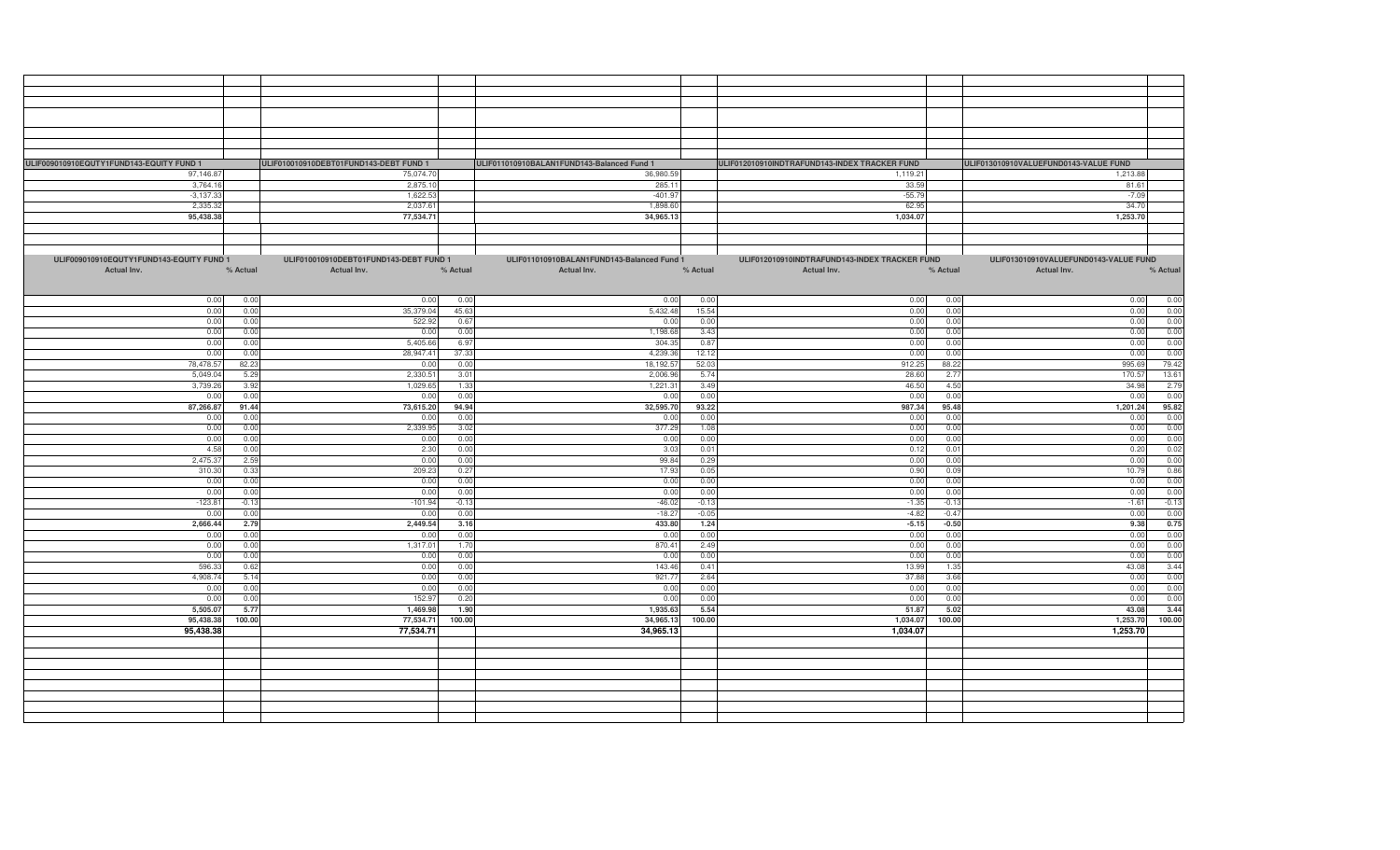| ULIF009010910EQUTY1FUND143-EQUITY FUND 1 |          | ULIF010010910DEBT01FUND143-DEBT FUND 1 |          | ULIF011010910BALAN1FUND143-Balanced Fund 1 |          | ULIF012010910INDTRAFUND143-INDEX TRACKER FUND |          | ULIF013010910VALUEFUND0143-VALUE FUND |          |  |  |
|------------------------------------------|----------|----------------------------------------|----------|--------------------------------------------|----------|-----------------------------------------------|----------|---------------------------------------|----------|--|--|
|                                          |          |                                        |          |                                            |          |                                               |          |                                       |          |  |  |
| 97,146.87                                |          | 75,074.70                              |          | 36,980.59                                  |          | 1,119.21                                      |          | 1,213.88                              |          |  |  |
| 3,764.16                                 |          | 2,875.10                               |          | 285.11                                     |          | 33.59                                         |          | 81.61                                 |          |  |  |
| $-3,137.33$                              |          | 1,622.53                               |          | $-401.97$                                  |          | $-55.79$                                      |          | $-7.09$                               |          |  |  |
| 2,335.32                                 |          | 2,037.61                               |          | 1,898.60                                   |          | 62.95                                         |          | 34.70                                 |          |  |  |
|                                          |          |                                        |          |                                            |          |                                               |          |                                       |          |  |  |
| 95,438.38                                |          | 77,534.71                              |          | 34,965.13                                  |          | 1,034.07                                      |          | 1,253.70                              |          |  |  |
|                                          |          |                                        |          |                                            |          |                                               |          |                                       |          |  |  |
|                                          |          |                                        |          |                                            |          |                                               |          |                                       |          |  |  |
|                                          |          |                                        |          |                                            |          |                                               |          |                                       |          |  |  |
|                                          |          |                                        |          |                                            |          |                                               |          |                                       |          |  |  |
| ULIF009010910EQUTY1FUND143-EQUITY FUND 1 |          | ULIF010010910DEBT01FUND143-DEBT FUND 1 |          | ULIF011010910BALAN1FUND143-Balanced Fund 1 |          | ULIF012010910INDTRAFUND143-INDEX TRACKER FUND |          | ULIF013010910VALUEFUND0143-VALUE FUND |          |  |  |
| Actual Inv.                              | % Actual | Actual Inv.                            | % Actual | Actual Inv.                                | % Actual | Actual Inv.                                   | % Actual | Actual Inv.                           | % Actual |  |  |
|                                          |          |                                        |          |                                            |          |                                               |          |                                       |          |  |  |
|                                          |          |                                        |          |                                            |          |                                               |          |                                       |          |  |  |
|                                          |          |                                        |          |                                            |          |                                               |          |                                       |          |  |  |
| 0.00                                     | 0.00     | 0.00                                   | 0.00     | 0.00                                       | 0.00     | 0.00                                          | 0.00     | 0.00                                  | 0.00     |  |  |
| 0.00                                     | 0.00     | 35,379.04                              | 45.63    | 5.432.48                                   | 15.54    | 0.00                                          | 0.00     | 0.00                                  | 0.00     |  |  |
| 0.00                                     | 0.00     | 522.9                                  | 0.67     | 0.00                                       | 0.00     | 0.00                                          | 0.00     | 0.00                                  | 0.00     |  |  |
| 0.00                                     | 0.00     | 0.00                                   | 0.00     | 1,198.68                                   | 3.43     | 0.00                                          | 0.00     | 0.00                                  | 0.00     |  |  |
|                                          |          |                                        |          |                                            |          |                                               |          |                                       |          |  |  |
| 0.00                                     | 0.00     | 5,405.6                                | 6.97     | 304.3                                      | 0.87     | 0.00                                          | 0.00     | 0.00                                  | 0.00     |  |  |
| 0.00                                     | 0.00     | 28,947.41                              | 37.33    | 4,239.3                                    | 12.12    | 0.00                                          | 0.00     | 0.00                                  | 0.00     |  |  |
| 78,478.57                                | 82.23    | 0.00                                   | 0.00     | 18,192.5                                   | 52.03    | 912.25                                        | 88.22    | 995.69                                | 79.42    |  |  |
|                                          | 5.29     | 2,330.5                                | 3.01     | 2,006.96                                   | 5.74     | 28.60                                         | 2.7      | 170.57                                | 13.61    |  |  |
| 5,049.04                                 |          |                                        |          |                                            |          |                                               |          |                                       |          |  |  |
| 3,739.26                                 | 3.92     | 1,029.6                                | 1.33     | 1,221.3                                    | 3.49     | 46.50                                         | 4.50     | 34.98                                 | 2.79     |  |  |
| 0.00                                     | 0.00     | 0.00                                   | 0.00     | 0.00                                       | 0.00     | 0.00                                          | 0.00     | 0.00                                  | 0.00     |  |  |
| 87,266.87                                | 91.44    | 73,615.20                              | 94.94    | 32,595.70                                  | 93.22    | 987.34                                        | 95.48    | 1,201.24                              | 95.82    |  |  |
|                                          |          |                                        |          |                                            |          |                                               |          |                                       |          |  |  |
| 0.00                                     | 0.0(     | 0.00                                   | 0.00     | 0.00                                       | 0.00     | 0.00                                          | 0.00     | 0.00                                  | 0.00     |  |  |
| 0.00                                     | 0.00     | 2,339.95                               | 3.02     | 377.29                                     | 1.08     | 0.00                                          | 0.00     | 0.00                                  | 0.00     |  |  |
| 0.00                                     | 0.00     | 0.00                                   | 0.00     | 0.00                                       | 0.00     | 0.00                                          | 0.00     | 0.00                                  | 0.00     |  |  |
| 4.58                                     | 0.00     | 2.30                                   | 0.00     | 3.03                                       | 0.01     | 0.12                                          | 0.01     | 0.20                                  | 0.02     |  |  |
|                                          |          |                                        |          |                                            |          |                                               |          |                                       |          |  |  |
| 2,475.37                                 | 2.59     | 0.00                                   | 0.00     | 99.84                                      | 0.29     | 0.00                                          | 0.00     | 0.00                                  | 0.00     |  |  |
| 310.30                                   | 0.33     | 209.2                                  | 0.27     | 17.93                                      | 0.05     | 0.90                                          | 0.09     | 10.79                                 | 0.86     |  |  |
| 0.00                                     | 0.00     | 0.00                                   | 0.00     | 0.00                                       | 0.00     | 0.00                                          | 0.00     | 0.00                                  | 0.00     |  |  |
| 0.00                                     | 0.00     | 0.00                                   | 0.00     | 0.00                                       | 0.00     | 0.00                                          | 0.00     | 0.00                                  | 0.00     |  |  |
|                                          |          |                                        |          |                                            |          |                                               |          |                                       |          |  |  |
| $-123.81$                                | $-0.13$  | $-101.94$                              | $-0.13$  | $-46.02$                                   | $-0.13$  | $-1.35$                                       | $-0.13$  | $-1.61$                               | $-0.13$  |  |  |
| 0.00                                     | 0.00     | 0.00                                   | 0.00     | $-18.27$                                   | $-0.05$  | $-4.82$                                       | $-0.4$   | 0.00                                  | 0.00     |  |  |
| 2,666.44                                 | 2.79     | 2,449.54                               | 3.16     | 433.80                                     | 1.24     | $-5.15$                                       | $-0.50$  | 9.38                                  | 0.75     |  |  |
| 0.00                                     | 0.00     | 0.00                                   | 0.00     | 0.00                                       | 0.00     | 0.00                                          | 0.00     | 0.00                                  | 0.00     |  |  |
|                                          |          |                                        |          |                                            |          |                                               |          |                                       |          |  |  |
| 0.00                                     | 0.00     | 1,317.01                               | 1.70     | 870.41                                     | 2.49     | 0.00                                          | 0.00     | 0.00                                  | 0.00     |  |  |
| 0.00                                     | 0.00     | 0.00                                   | 0.00     | 0.00                                       | 0.00     | 0.00                                          | 0.00     | 0.00                                  | 0.00     |  |  |
| 596.33                                   | 0.62     | 0.00                                   | 0.00     | 143.46                                     | 0.41     | 13.99                                         | 1.35     | 43.0                                  | 3.44     |  |  |
| 4,908.74                                 | 5.14     | 0.00                                   | 0.00     | 921.77                                     | 2.64     | 37.88                                         | 3.66     | 0.00                                  | 0.00     |  |  |
|                                          |          |                                        |          |                                            |          |                                               |          |                                       |          |  |  |
| 0.00                                     | 0.00     | 0.00                                   | 0.00     | 0.00                                       | 0.00     | 0.00                                          | 0.00     | 0.00                                  | 0.00     |  |  |
| 0.00                                     | 0.00     | 152.9                                  | 0.20     | 0.00                                       | 0.00     | 0.00                                          | 0.00     | 0.00                                  | 0.00     |  |  |
| 5,505.07                                 | 5.77     | 1,469.98                               | 1.90     | 1,935.63                                   | 5.54     | 51.87                                         | 5.02     | 43.08                                 | 3.44     |  |  |
| 95,438.38                                | 100.00   | 77,534.71                              | 100.00   | 34,965.13                                  | 100.00   | 1,034.07                                      | 100.00   | 1,253.70                              | 100.00   |  |  |
|                                          |          |                                        |          |                                            |          |                                               |          |                                       |          |  |  |
| 95,438.38                                |          | 77,534.71                              |          | 34,965.13                                  |          | 1,034.07                                      |          | 1,253.70                              |          |  |  |
|                                          |          |                                        |          |                                            |          |                                               |          |                                       |          |  |  |
|                                          |          |                                        |          |                                            |          |                                               |          |                                       |          |  |  |
|                                          |          |                                        |          |                                            |          |                                               |          |                                       |          |  |  |
|                                          |          |                                        |          |                                            |          |                                               |          |                                       |          |  |  |
|                                          |          |                                        |          |                                            |          |                                               |          |                                       |          |  |  |
|                                          |          |                                        |          |                                            |          |                                               |          |                                       |          |  |  |
|                                          |          |                                        |          |                                            |          |                                               |          |                                       |          |  |  |
|                                          |          |                                        |          |                                            |          |                                               |          |                                       |          |  |  |
|                                          |          |                                        |          |                                            |          |                                               |          |                                       |          |  |  |
|                                          |          |                                        |          |                                            |          |                                               |          |                                       |          |  |  |